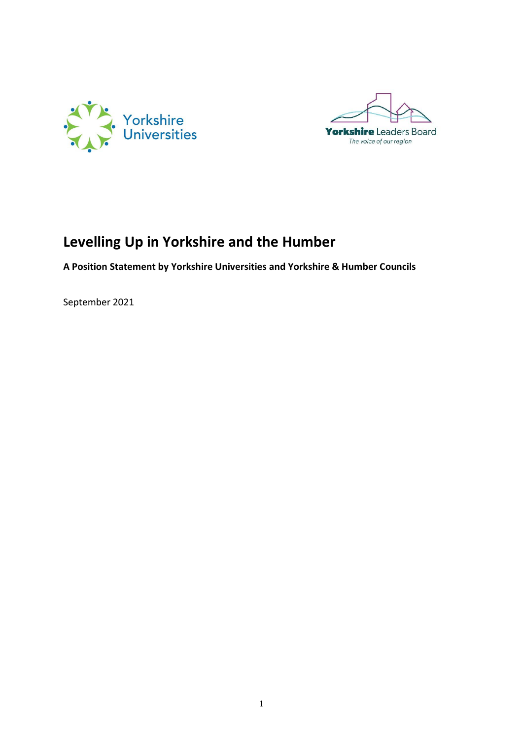



# **Levelling Up in Yorkshire and the Humber**

**A Position Statement by Yorkshire Universities and Yorkshire & Humber Councils** 

September 2021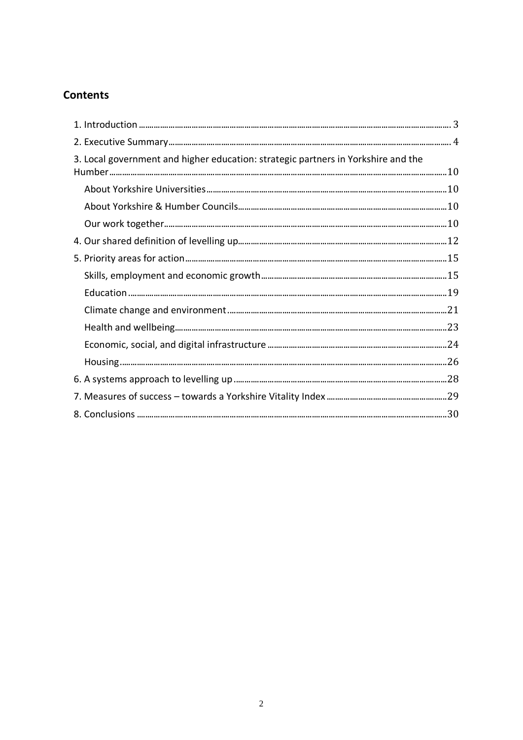# **Contents**

| 3. Local government and higher education: strategic partners in Yorkshire and the |  |
|-----------------------------------------------------------------------------------|--|
|                                                                                   |  |
|                                                                                   |  |
|                                                                                   |  |
|                                                                                   |  |
|                                                                                   |  |
|                                                                                   |  |
|                                                                                   |  |
|                                                                                   |  |
|                                                                                   |  |
|                                                                                   |  |
|                                                                                   |  |
|                                                                                   |  |
|                                                                                   |  |
|                                                                                   |  |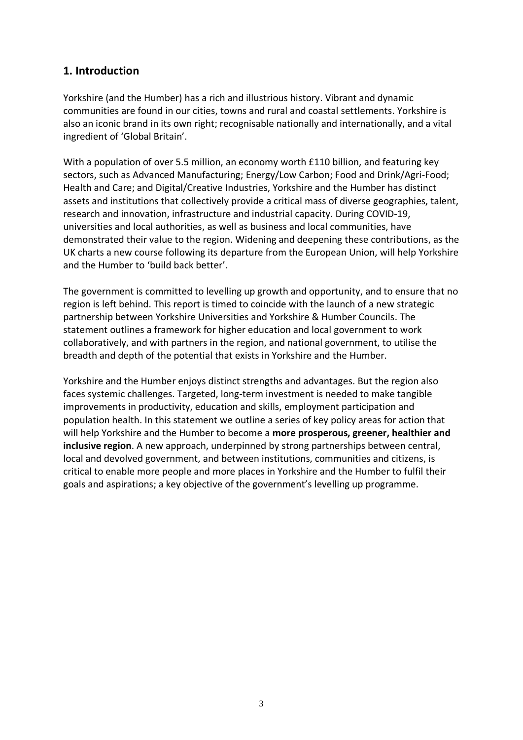### <span id="page-2-0"></span>**1. Introduction**

Yorkshire (and the Humber) has a rich and illustrious history. Vibrant and dynamic communities are found in our cities, towns and rural and coastal settlements. Yorkshire is also an iconic brand in its own right; recognisable nationally and internationally, and a vital ingredient of 'Global Britain'.

With a population of over 5.5 million, an economy worth £110 billion, and featuring key sectors, such as Advanced Manufacturing; Energy/Low Carbon; Food and Drink/Agri-Food; Health and Care; and Digital/Creative Industries, Yorkshire and the Humber has distinct assets and institutions that collectively provide a critical mass of diverse geographies, talent, research and innovation, infrastructure and industrial capacity. During COVID-19, universities and local authorities, as well as business and local communities, have demonstrated their value to the region. Widening and deepening these contributions, as the UK charts a new course following its departure from the European Union, will help Yorkshire and the Humber to 'build back better'.

The government is committed to levelling up growth and opportunity, and to ensure that no region is left behind. This report is timed to coincide with the launch of a new strategic partnership between Yorkshire Universities and Yorkshire & Humber Councils. The statement outlines a framework for higher education and local government to work collaboratively, and with partners in the region, and national government, to utilise the breadth and depth of the potential that exists in Yorkshire and the Humber.

Yorkshire and the Humber enjoys distinct strengths and advantages. But the region also faces systemic challenges. Targeted, long-term investment is needed to make tangible improvements in productivity, education and skills, employment participation and population health. In this statement we outline a series of key policy areas for action that will help Yorkshire and the Humber to become a **more prosperous, greener, healthier and inclusive region**. A new approach, underpinned by strong partnerships between central, local and devolved government, and between institutions, communities and citizens, is critical to enable more people and more places in Yorkshire and the Humber to fulfil their goals and aspirations; a key objective of the government's levelling up programme.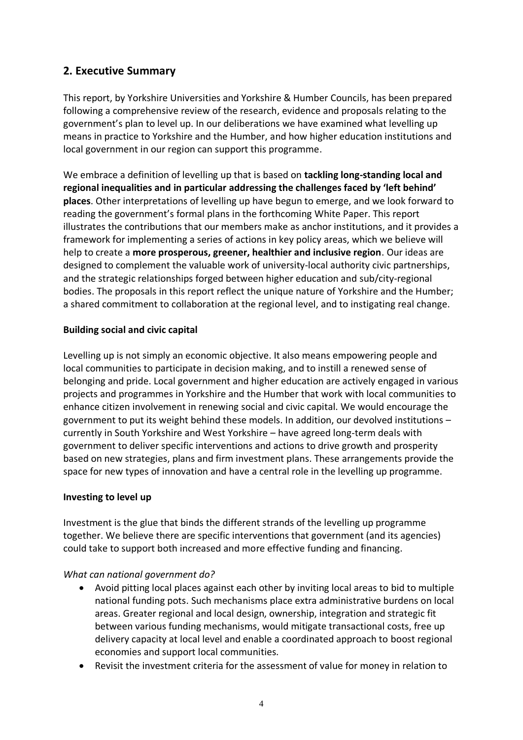## <span id="page-3-0"></span>**2. Executive Summary**

This report, by Yorkshire Universities and Yorkshire & Humber Councils, has been prepared following a comprehensive review of the research, evidence and proposals relating to the government's plan to level up. In our deliberations we have examined what levelling up means in practice to Yorkshire and the Humber, and how higher education institutions and local government in our region can support this programme.

We embrace a definition of levelling up that is based on **tackling long-standing local and regional inequalities and in particular addressing the challenges faced by 'left behind' places**. Other interpretations of levelling up have begun to emerge, and we look forward to reading the government's formal plans in the forthcoming White Paper. This report illustrates the contributions that our members make as anchor institutions, and it provides a framework for implementing a series of actions in key policy areas, which we believe will help to create a **more prosperous, greener, healthier and inclusive region**. Our ideas are designed to complement the valuable work of university-local authority civic partnerships, and the strategic relationships forged between higher education and sub/city-regional bodies. The proposals in this report reflect the unique nature of Yorkshire and the Humber; a shared commitment to collaboration at the regional level, and to instigating real change.

### **Building social and civic capital**

Levelling up is not simply an economic objective. It also means empowering people and local communities to participate in decision making, and to instill a renewed sense of belonging and pride. Local government and higher education are actively engaged in various projects and programmes in Yorkshire and the Humber that work with local communities to enhance citizen involvement in renewing social and civic capital. We would encourage the government to put its weight behind these models. In addition, our devolved institutions – currently in South Yorkshire and West Yorkshire – have agreed long-term deals with government to deliver specific interventions and actions to drive growth and prosperity based on new strategies, plans and firm investment plans. These arrangements provide the space for new types of innovation and have a central role in the levelling up programme.

### **Investing to level up**

Investment is the glue that binds the different strands of the levelling up programme together. We believe there are specific interventions that government (and its agencies) could take to support both increased and more effective funding and financing.

- Avoid pitting local places against each other by inviting local areas to bid to multiple national funding pots. Such mechanisms place extra administrative burdens on local areas. Greater regional and local design, ownership, integration and strategic fit between various funding mechanisms, would mitigate transactional costs, free up delivery capacity at local level and enable a coordinated approach to boost regional economies and support local communities.
- Revisit the investment criteria for the assessment of value for money in relation to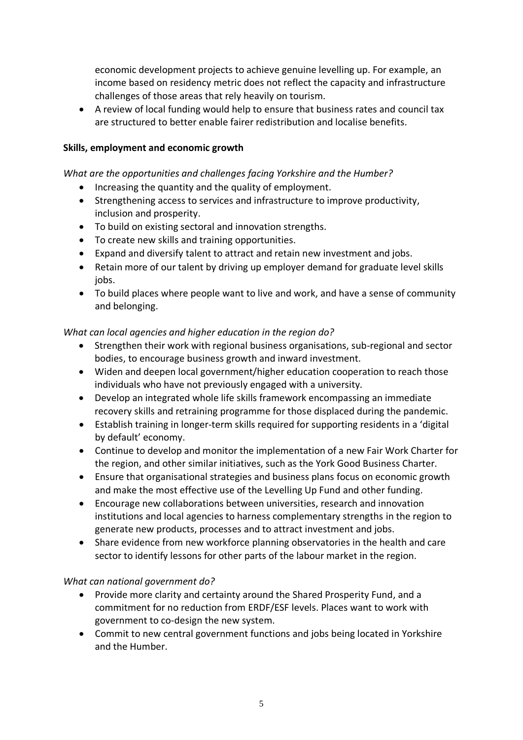economic development projects to achieve genuine levelling up. For example, an income based on residency metric does not reflect the capacity and infrastructure challenges of those areas that rely heavily on tourism.

• A review of local funding would help to ensure that business rates and council tax are structured to better enable fairer redistribution and localise benefits.

#### **Skills, employment and economic growth**

#### *What are the opportunities and challenges facing Yorkshire and the Humber?*

- Increasing the quantity and the quality of employment.
- Strengthening access to services and infrastructure to improve productivity, inclusion and prosperity.
- To build on existing sectoral and innovation strengths.
- To create new skills and training opportunities.
- Expand and diversify talent to attract and retain new investment and jobs.
- Retain more of our talent by driving up employer demand for graduate level skills jobs.
- To build places where people want to live and work, and have a sense of community and belonging.

### *What can local agencies and higher education in the region do?*

- Strengthen their work with regional business organisations, sub-regional and sector bodies, to encourage business growth and inward investment.
- Widen and deepen local government/higher education cooperation to reach those individuals who have not previously engaged with a university.
- Develop an integrated whole life skills framework encompassing an immediate recovery skills and retraining programme for those displaced during the pandemic.
- Establish training in longer-term skills required for supporting residents in a 'digital by default' economy.
- Continue to develop and monitor the implementation of a new Fair Work Charter for the region, and other similar initiatives, such as the York Good Business Charter.
- Ensure that organisational strategies and business plans focus on economic growth and make the most effective use of the Levelling Up Fund and other funding.
- Encourage new collaborations between universities, research and innovation institutions and local agencies to harness complementary strengths in the region to generate new products, processes and to attract investment and jobs.
- Share evidence from new workforce planning observatories in the health and care sector to identify lessons for other parts of the labour market in the region.

- Provide more clarity and certainty around the Shared Prosperity Fund, and a commitment for no reduction from ERDF/ESF levels. Places want to work with government to co-design the new system.
- Commit to new central government functions and jobs being located in Yorkshire and the Humber.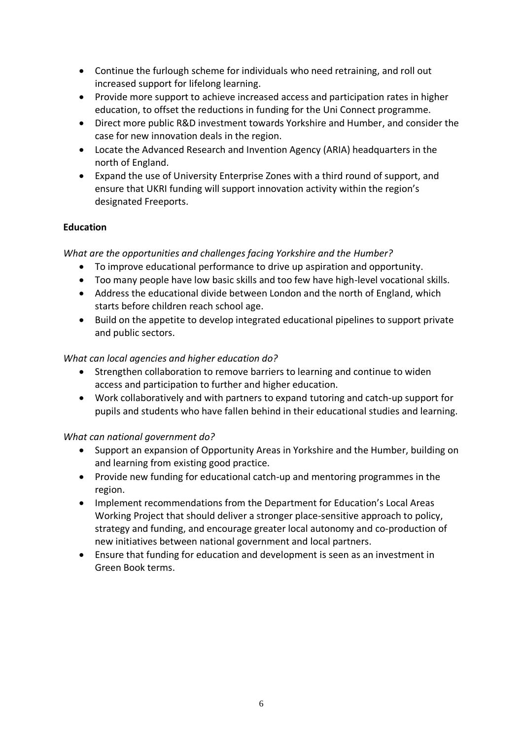- Continue the furlough scheme for individuals who need retraining, and roll out increased support for lifelong learning.
- Provide more support to achieve increased access and participation rates in higher education, to offset the reductions in funding for the Uni Connect programme.
- Direct more public R&D investment towards Yorkshire and Humber, and consider the case for new innovation deals in the region.
- Locate the Advanced Research and Invention Agency (ARIA) headquarters in the north of England.
- Expand the use of University Enterprise Zones with a third round of support, and ensure that UKRI funding will support innovation activity within the region's designated Freeports.

### **Education**

### *What are the opportunities and challenges facing Yorkshire and the Humber?*

- To improve educational performance to drive up aspiration and opportunity.
- Too many people have low basic skills and too few have high-level vocational skills.
- Address the educational divide between London and the north of England, which starts before children reach school age.
- Build on the appetite to develop integrated educational pipelines to support private and public sectors.

### *What can local agencies and higher education do?*

- Strengthen collaboration to remove barriers to learning and continue to widen access and participation to further and higher education.
- Work collaboratively and with partners to expand tutoring and catch-up support for pupils and students who have fallen behind in their educational studies and learning.

- Support an expansion of Opportunity Areas in Yorkshire and the Humber, building on and learning from existing good practice.
- Provide new funding for educational catch-up and mentoring programmes in the region.
- Implement recommendations from the Department for Education's Local Areas Working Project that should deliver a stronger place-sensitive approach to policy, strategy and funding, and encourage greater local autonomy and co-production of new initiatives between national government and local partners.
- Ensure that funding for education and development is seen as an investment in Green Book terms.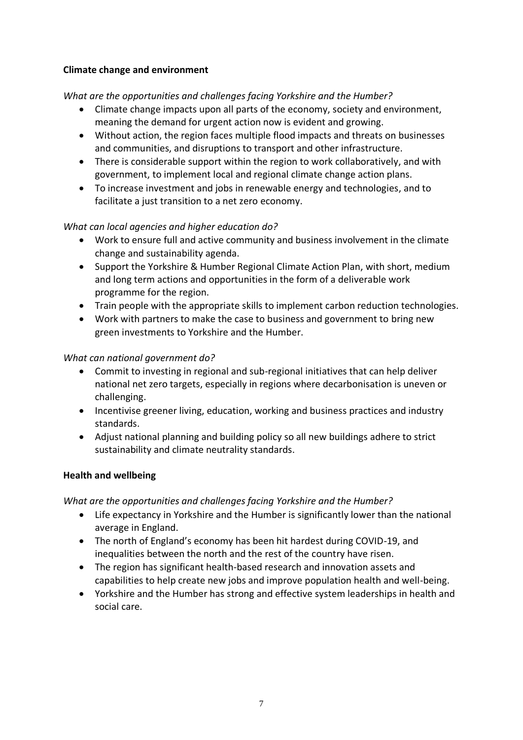### **Climate change and environment**

### *What are the opportunities and challenges facing Yorkshire and the Humber?*

- Climate change impacts upon all parts of the economy, society and environment, meaning the demand for urgent action now is evident and growing.
- Without action, the region faces multiple flood impacts and threats on businesses and communities, and disruptions to transport and other infrastructure.
- There is considerable support within the region to work collaboratively, and with government, to implement local and regional climate change action plans.
- To increase investment and jobs in renewable energy and technologies, and to facilitate a just transition to a net zero economy.

### *What can local agencies and higher education do?*

- Work to ensure full and active community and business involvement in the climate change and sustainability agenda.
- Support the Yorkshire & Humber Regional Climate Action Plan, with short, medium and long term actions and opportunities in the form of a deliverable work programme for the region.
- Train people with the appropriate skills to implement carbon reduction technologies.
- Work with partners to make the case to business and government to bring new green investments to Yorkshire and the Humber.

### *What can national government do?*

- Commit to investing in regional and sub-regional initiatives that can help deliver national net zero targets, especially in regions where decarbonisation is uneven or challenging.
- Incentivise greener living, education, working and business practices and industry standards.
- Adjust national planning and building policy so all new buildings adhere to strict sustainability and climate neutrality standards.

### **Health and wellbeing**

*What are the opportunities and challenges facing Yorkshire and the Humber?*

- Life expectancy in Yorkshire and the Humber is significantly lower than the national average in England.
- The north of England's economy has been hit hardest during COVID-19, and inequalities between the north and the rest of the country have risen.
- The region has significant health-based research and innovation assets and capabilities to help create new jobs and improve population health and well-being.
- Yorkshire and the Humber has strong and effective system leaderships in health and social care.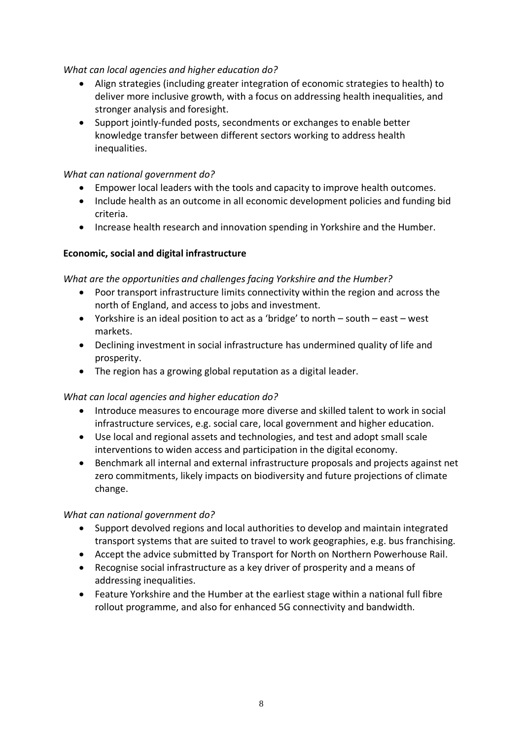### *What can local agencies and higher education do?*

- Align strategies (including greater integration of economic strategies to health) to deliver more inclusive growth, with a focus on addressing health inequalities, and stronger analysis and foresight.
- Support jointly-funded posts, secondments or exchanges to enable better knowledge transfer between different sectors working to address health inequalities.

### *What can national government do?*

- Empower local leaders with the tools and capacity to improve health outcomes.
- Include health as an outcome in all economic development policies and funding bid criteria.
- Increase health research and innovation spending in Yorkshire and the Humber.

### **Economic, social and digital infrastructure**

### *What are the opportunities and challenges facing Yorkshire and the Humber?*

- Poor transport infrastructure limits connectivity within the region and across the north of England, and access to jobs and investment.
- Yorkshire is an ideal position to act as a 'bridge' to north south east west markets.
- Declining investment in social infrastructure has undermined quality of life and prosperity.
- The region has a growing global reputation as a digital leader.

### *What can local agencies and higher education do?*

- Introduce measures to encourage more diverse and skilled talent to work in social infrastructure services, e.g. social care, local government and higher education.
- Use local and regional assets and technologies, and test and adopt small scale interventions to widen access and participation in the digital economy.
- Benchmark all internal and external infrastructure proposals and projects against net zero commitments, likely impacts on biodiversity and future projections of climate change.

- Support devolved regions and local authorities to develop and maintain integrated transport systems that are suited to travel to work geographies, e.g. bus franchising.
- Accept the advice submitted by Transport for North on Northern Powerhouse Rail.
- Recognise social infrastructure as a key driver of prosperity and a means of addressing inequalities.
- Feature Yorkshire and the Humber at the earliest stage within a national full fibre rollout programme, and also for enhanced 5G connectivity and bandwidth.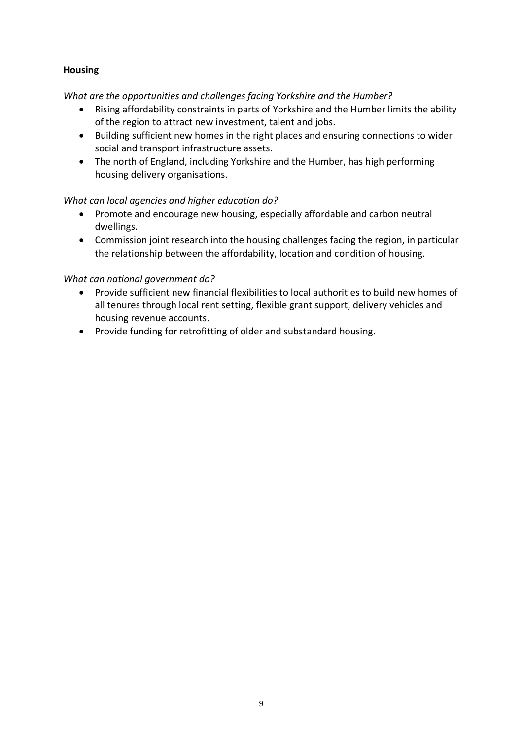### **Housing**

*What are the opportunities and challenges facing Yorkshire and the Humber?*

- Rising affordability constraints in parts of Yorkshire and the Humber limits the ability of the region to attract new investment, talent and jobs.
- Building sufficient new homes in the right places and ensuring connections to wider social and transport infrastructure assets.
- The north of England, including Yorkshire and the Humber, has high performing housing delivery organisations.

### *What can local agencies and higher education do?*

- Promote and encourage new housing, especially affordable and carbon neutral dwellings.
- Commission joint research into the housing challenges facing the region, in particular the relationship between the affordability, location and condition of housing.

- Provide sufficient new financial flexibilities to local authorities to build new homes of all tenures through local rent setting, flexible grant support, delivery vehicles and housing revenue accounts.
- Provide funding for retrofitting of older and substandard housing.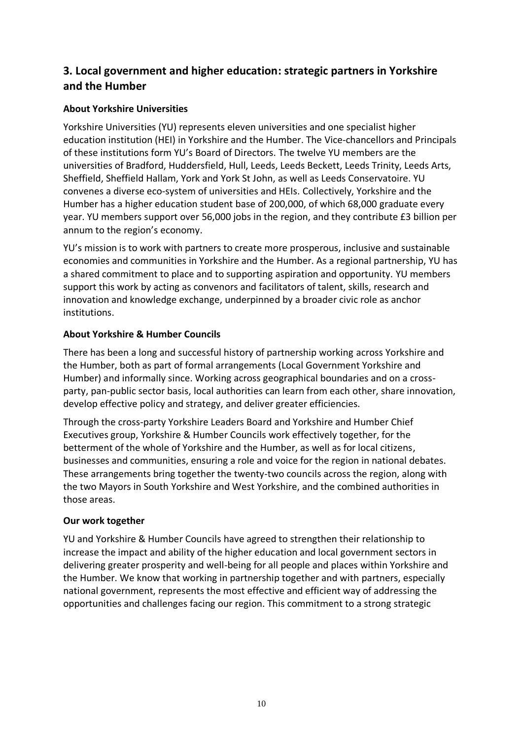# <span id="page-9-0"></span>**3. Local government and higher education: strategic partners in Yorkshire and the Humber**

### <span id="page-9-1"></span>**About Yorkshire Universities**

Yorkshire Universities (YU) represents eleven universities and one specialist higher education institution (HEI) in Yorkshire and the Humber. The Vice-chancellors and Principals of these institutions form YU's Board of Directors. The twelve YU members are the universities of Bradford, Huddersfield, Hull, Leeds, Leeds Beckett, Leeds Trinity, Leeds Arts, Sheffield, Sheffield Hallam, York and York St John, as well as Leeds Conservatoire. YU convenes a diverse eco-system of universities and HEIs. Collectively, Yorkshire and the Humber has a higher education student base of 200,000, of which 68,000 graduate every year. YU members support over 56,000 jobs in the region, and they contribute £3 billion per annum to the region's economy.

YU's mission is to work with partners to create more prosperous, inclusive and sustainable economies and communities in Yorkshire and the Humber. As a regional partnership, YU has a shared commitment to place and to supporting aspiration and opportunity. YU members support this work by acting as convenors and facilitators of talent, skills, research and innovation and knowledge exchange, underpinned by a broader civic role as anchor institutions.

### <span id="page-9-2"></span>**About Yorkshire & Humber Councils**

There has been a long and successful history of partnership working across Yorkshire and the Humber, both as part of formal arrangements (Local Government Yorkshire and Humber) and informally since. Working across geographical boundaries and on a crossparty, pan-public sector basis, local authorities can learn from each other, share innovation, develop effective policy and strategy, and deliver greater efficiencies.

Through the cross-party Yorkshire Leaders Board and Yorkshire and Humber Chief Executives group, Yorkshire & Humber Councils work effectively together, for the betterment of the whole of Yorkshire and the Humber, as well as for local citizens, businesses and communities, ensuring a role and voice for the region in national debates. These arrangements bring together the twenty-two councils across the region, along with the two Mayors in South Yorkshire and West Yorkshire, and the combined authorities in those areas.

### <span id="page-9-3"></span>**Our work together**

YU and Yorkshire & Humber Councils have agreed to strengthen their relationship to increase the impact and ability of the higher education and local government sectors in delivering greater prosperity and well-being for all people and places within Yorkshire and the Humber. We know that working in partnership together and with partners, especially national government, represents the most effective and efficient way of addressing the opportunities and challenges facing our region. This commitment to a strong strategic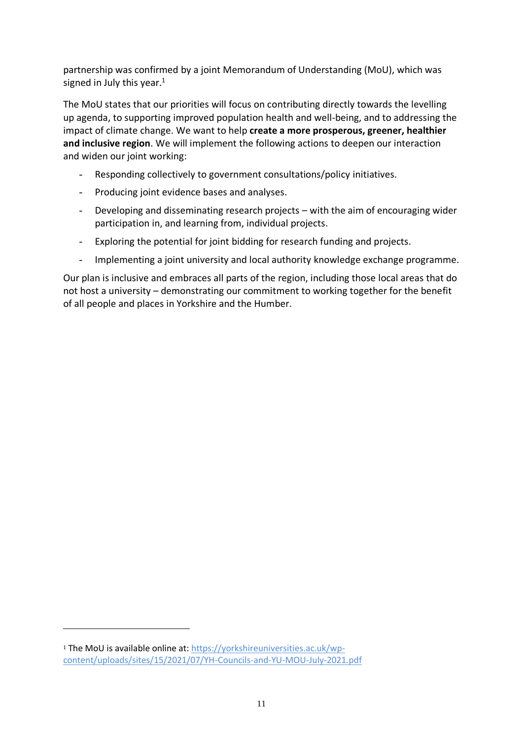partnership was confirmed by a joint Memorandum of Understanding (MoU), which was signed in July this year. 1

The MoU states that our priorities will focus on contributing directly towards the levelling up agenda, to supporting improved population health and well-being, and to addressing the impact of climate change. We want to help **create a more prosperous, greener, healthier and inclusive region**. We will implement the following actions to deepen our interaction and widen our joint working:

- Responding collectively to government consultations/policy initiatives.
- Producing joint evidence bases and analyses.
- Developing and disseminating research projects with the aim of encouraging wider participation in, and learning from, individual projects.
- Exploring the potential for joint bidding for research funding and projects.
- Implementing a joint university and local authority knowledge exchange programme.

Our plan is inclusive and embraces all parts of the region, including those local areas that do not host a university – demonstrating our commitment to working together for the benefit of all people and places in Yorkshire and the Humber.

<sup>1</sup> The MoU is available online at: [https://yorkshireuniversities.ac.uk/wp](https://yorkshireuniversities.ac.uk/wp-content/uploads/sites/15/2021/07/YH-Councils-and-YU-MOU-July-2021.pdf)[content/uploads/sites/15/2021/07/YH-Councils-and-YU-MOU-July-2021.pdf](https://yorkshireuniversities.ac.uk/wp-content/uploads/sites/15/2021/07/YH-Councils-and-YU-MOU-July-2021.pdf)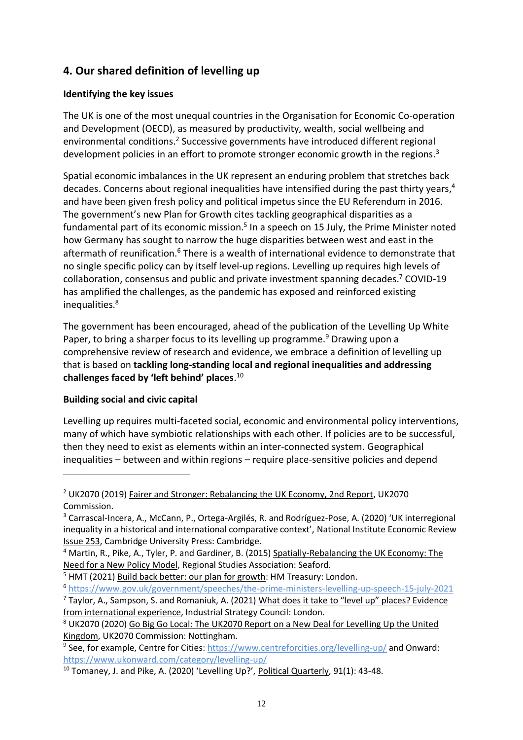# <span id="page-11-0"></span>**4. Our shared definition of levelling up**

### **Identifying the key issues**

The UK is one of the most unequal countries in the Organisation for Economic Co-operation and Development (OECD), as measured by productivity, wealth, social wellbeing and environmental conditions.<sup>2</sup> Successive governments have introduced different regional development policies in an effort to promote stronger economic growth in the regions.<sup>3</sup>

Spatial economic imbalances in the UK represent an enduring problem that stretches back decades. Concerns about regional inequalities have intensified during the past thirty years,<sup>4</sup> and have been given fresh policy and political impetus since the EU Referendum in 2016. The government's new Plan for Growth cites tackling geographical disparities as a fundamental part of its economic mission.<sup>5</sup> In a speech on 15 July, the Prime Minister noted how Germany has sought to narrow the huge disparities between west and east in the aftermath of reunification.<sup>6</sup> There is a wealth of international evidence to demonstrate that no single specific policy can by itself level-up regions. Levelling up requires high levels of collaboration, consensus and public and private investment spanning decades.<sup>7</sup> COVID-19 has amplified the challenges, as the pandemic has exposed and reinforced existing inequalities.<sup>8</sup>

The government has been encouraged, ahead of the publication of the Levelling Up White Paper, to bring a sharper focus to its levelling up programme.<sup>9</sup> Drawing upon a comprehensive review of research and evidence, we embrace a definition of levelling up that is based on **tackling long-standing local and regional inequalities and addressing challenges faced by 'left behind' places**. 10

### **Building social and civic capital**

Levelling up requires multi-faceted social, economic and environmental policy interventions, many of which have symbiotic relationships with each other. If policies are to be successful, then they need to exist as elements within an inter-connected system. Geographical inequalities – between and within regions – require place-sensitive policies and depend

<sup>2</sup> UK2070 (2019) Fairer and Stronger: Rebalancing the UK Economy, 2nd Report, UK2070 Commission.

<sup>3</sup> Carrascal-Incera, A., McCann, P., Ortega-Argilés, R. and Rodríguez-Pose, A. (2020) 'UK interregional inequality in a historical and international comparative context', National Institute Economic Review Issue 253, Cambridge University Press: Cambridge.

<sup>4</sup> Martin, R., Pike, A., Tyler, P. and Gardiner, B. (2015) Spatially-Rebalancing the UK Economy: The Need for a New Policy Model, Regional Studies Association: Seaford.

<sup>&</sup>lt;sup>5</sup> HMT (2021) Build back better: our plan for growth: HM Treasury: London.

<sup>6</sup> <https://www.gov.uk/government/speeches/the-prime-ministers-levelling-up-speech-15-july-2021>

<sup>&</sup>lt;sup>7</sup> Taylor, A., Sampson, S. and Romaniuk, A. (2021) <u>What does it take to "level up" places? Evidence</u> from international experience, Industrial Strategy Council: London.

<sup>&</sup>lt;sup>8</sup> UK2070 (2020) Go Big Go Local: The UK2070 Report on a New Deal for Levelling Up the United Kingdom, UK2070 Commission: Nottingham.

<sup>&</sup>lt;sup>9</sup> See, for example, Centre for Cities:<https://www.centreforcities.org/levelling-up/> and Onward: <https://www.ukonward.com/category/levelling-up/>

<sup>&</sup>lt;sup>10</sup> Tomaney, J. and Pike, A. (2020) 'Levelling Up?', Political Quarterly, 91(1): 43-48.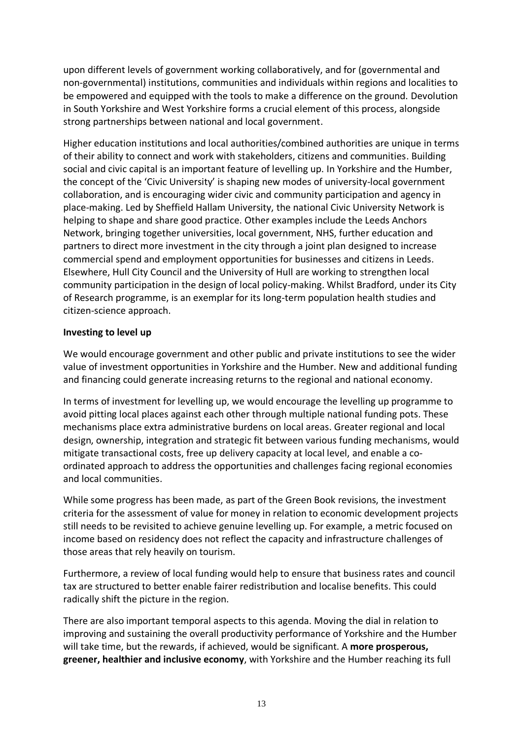upon different levels of government working collaboratively, and for (governmental and non-governmental) institutions, communities and individuals within regions and localities to be empowered and equipped with the tools to make a difference on the ground. Devolution in South Yorkshire and West Yorkshire forms a crucial element of this process, alongside strong partnerships between national and local government.

Higher education institutions and local authorities/combined authorities are unique in terms of their ability to connect and work with stakeholders, citizens and communities. Building social and civic capital is an important feature of levelling up. In Yorkshire and the Humber, the concept of the 'Civic University' is shaping new modes of university-local government collaboration, and is encouraging wider civic and community participation and agency in place-making. Led by Sheffield Hallam University, the national Civic University Network is helping to shape and share good practice. Other examples include the Leeds Anchors Network, bringing together universities, local government, NHS, further education and partners to direct more investment in the city through a joint plan designed to increase commercial spend and employment opportunities for businesses and citizens in Leeds. Elsewhere, Hull City Council and the University of Hull are working to strengthen local community participation in the design of local policy-making. Whilst Bradford, under its City of Research programme, is an exemplar for its long-term population health studies and citizen-science approach.

#### **Investing to level up**

We would encourage government and other public and private institutions to see the wider value of investment opportunities in Yorkshire and the Humber. New and additional funding and financing could generate increasing returns to the regional and national economy.

In terms of investment for levelling up, we would encourage the levelling up programme to avoid pitting local places against each other through multiple national funding pots. These mechanisms place extra administrative burdens on local areas. Greater regional and local design, ownership, integration and strategic fit between various funding mechanisms, would mitigate transactional costs, free up delivery capacity at local level, and enable a coordinated approach to address the opportunities and challenges facing regional economies and local communities.

While some progress has been made, as part of the Green Book revisions, the investment criteria for the assessment of value for money in relation to economic development projects still needs to be revisited to achieve genuine levelling up. For example, a metric focused on income based on residency does not reflect the capacity and infrastructure challenges of those areas that rely heavily on tourism.

Furthermore, a review of local funding would help to ensure that business rates and council tax are structured to better enable fairer redistribution and localise benefits. This could radically shift the picture in the region.

There are also important temporal aspects to this agenda. Moving the dial in relation to improving and sustaining the overall productivity performance of Yorkshire and the Humber will take time, but the rewards, if achieved, would be significant. A **more prosperous, greener, healthier and inclusive economy**, with Yorkshire and the Humber reaching its full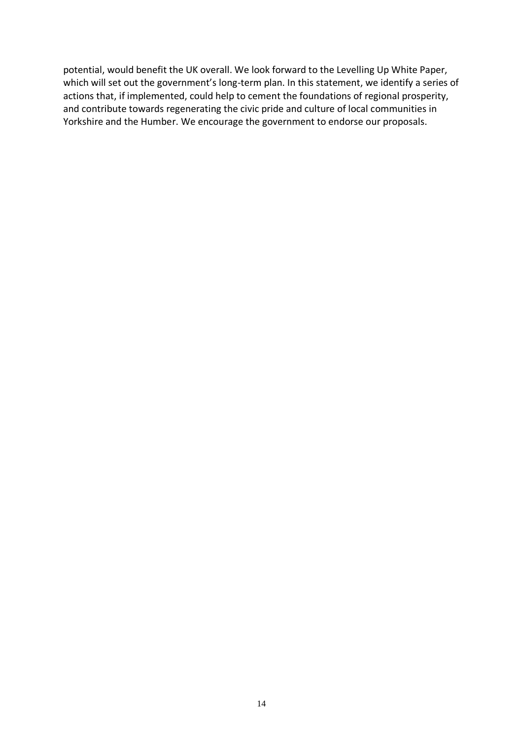potential, would benefit the UK overall. We look forward to the Levelling Up White Paper, which will set out the government's long-term plan. In this statement, we identify a series of actions that, if implemented, could help to cement the foundations of regional prosperity, and contribute towards regenerating the civic pride and culture of local communities in Yorkshire and the Humber. We encourage the government to endorse our proposals.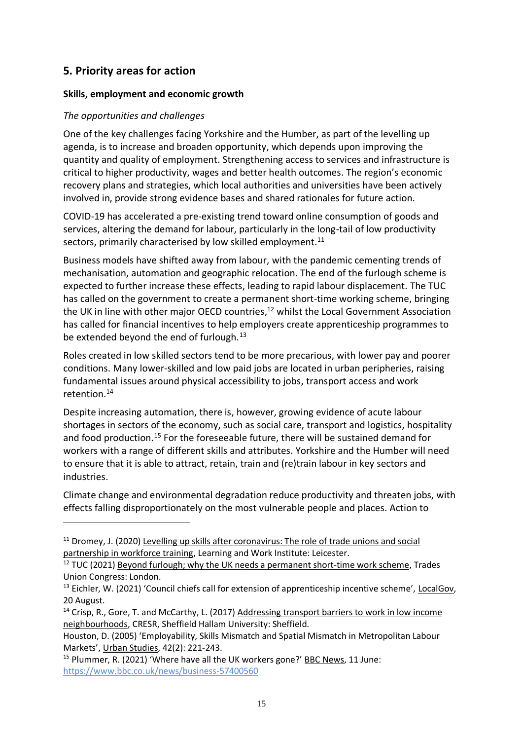## <span id="page-14-0"></span>**5. Priority areas for action**

#### <span id="page-14-1"></span>**Skills, employment and economic growth**

#### *The opportunities and challenges*

One of the key challenges facing Yorkshire and the Humber, as part of the levelling up agenda, is to increase and broaden opportunity, which depends upon improving the quantity and quality of employment. Strengthening access to services and infrastructure is critical to higher productivity, wages and better health outcomes. The region's economic recovery plans and strategies, which local authorities and universities have been actively involved in, provide strong evidence bases and shared rationales for future action.

COVID-19 has accelerated a pre-existing trend toward online consumption of goods and services, altering the demand for labour, particularly in the long-tail of low productivity sectors, primarily characterised by low skilled employment.<sup>11</sup>

Business models have shifted away from labour, with the pandemic cementing trends of mechanisation, automation and geographic relocation. The end of the furlough scheme is expected to further increase these effects, leading to rapid labour displacement. The TUC has called on the government to create a permanent short-time working scheme, bringing the UK in line with other major OECD countries, <sup>12</sup> whilst the Local Government Association has called for financial incentives to help employers create apprenticeship programmes to be extended beyond the end of furlough.<sup>13</sup>

Roles created in low skilled sectors tend to be more precarious, with lower pay and poorer conditions. Many lower-skilled and low paid jobs are located in urban peripheries, raising fundamental issues around physical accessibility to jobs, transport access and work retention. 14

Despite increasing automation, there is, however, growing evidence of acute labour shortages in sectors of the economy, such as social care, transport and logistics, hospitality and food production.<sup>15</sup> For the foreseeable future, there will be sustained demand for workers with a range of different skills and attributes. Yorkshire and the Humber will need to ensure that it is able to attract, retain, train and (re)train labour in key sectors and industries.

Climate change and environmental degradation reduce productivity and threaten jobs, with effects falling disproportionately on the most vulnerable people and places. Action to

<sup>14</sup> Crisp, R., Gore, T. and McCarthy, L. (2017) Addressing transport barriers to work in low income neighbourhoods, CRESR, Sheffield Hallam University: Sheffield.

 $11$  Dromey, J. (2020) Levelling up skills after coronavirus: The role of trade unions and social partnership in workforce training, Learning and Work Institute: Leicester.

 $12$  TUC (2021) Beyond furlough; why the UK needs a permanent short-time work scheme, Trades Union Congress: London.

<sup>&</sup>lt;sup>13</sup> Eichler, W. (2021) 'Council chiefs call for extension of apprenticeship incentive scheme', LocalGov, 20 August.

Houston, D. (2005) 'Employability, Skills Mismatch and Spatial Mismatch in Metropolitan Labour Markets', Urban Studies, 42(2): 221-243.

<sup>&</sup>lt;sup>15</sup> Plummer, R. (2021) 'Where have all the UK workers gone?' BBC News, 11 June: <https://www.bbc.co.uk/news/business-57400560>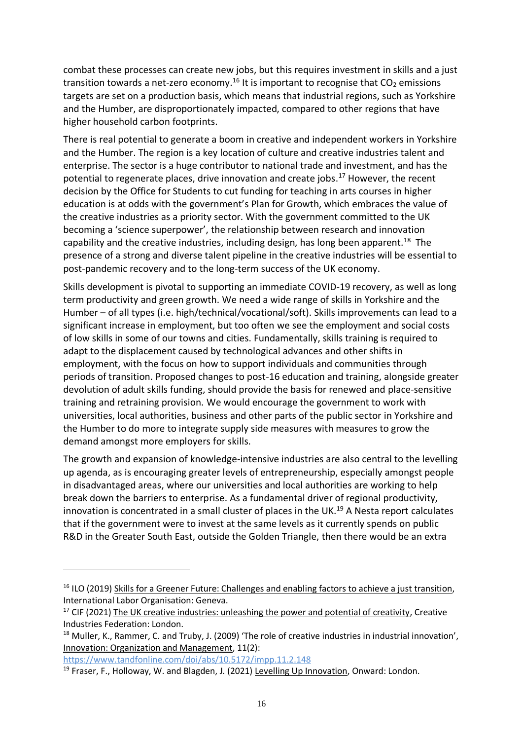combat these processes can create new jobs, but this requires investment in skills and a just transition towards a net-zero economy.<sup>16</sup> It is important to recognise that  $CO<sub>2</sub>$  emissions targets are set on a production basis, which means that industrial regions, such as Yorkshire and the Humber, are disproportionately impacted, compared to other regions that have higher household carbon footprints.

There is real potential to generate a boom in creative and independent workers in Yorkshire and the Humber. The region is a key location of culture and creative industries talent and enterprise. The sector is a huge contributor to national trade and investment, and has the potential to regenerate places, drive innovation and create jobs. <sup>17</sup> However, the recent decision by the Office for Students to cut funding for teaching in arts courses in higher education is at odds with the government's Plan for Growth, which embraces the value of the creative industries as a priority sector. With the government committed to the UK becoming a 'science superpower', the relationship between research and innovation capability and the creative industries, including design, has long been apparent.<sup>18</sup> The presence of a strong and diverse talent pipeline in the creative industries will be essential to post-pandemic recovery and to the long-term success of the UK economy.

Skills development is pivotal to supporting an immediate COVID-19 recovery, as well as long term productivity and green growth. We need a wide range of skills in Yorkshire and the Humber – of all types (i.e. high/technical/vocational/soft). Skills improvements can lead to a significant increase in employment, but too often we see the employment and social costs of low skills in some of our towns and cities. Fundamentally, skills training is required to adapt to the displacement caused by technological advances and other shifts in employment, with the focus on how to support individuals and communities through periods of transition. Proposed changes to post-16 education and training, alongside greater devolution of adult skills funding, should provide the basis for renewed and place-sensitive training and retraining provision. We would encourage the government to work with universities, local authorities, business and other parts of the public sector in Yorkshire and the Humber to do more to integrate supply side measures with measures to grow the demand amongst more employers for skills.

The growth and expansion of knowledge-intensive industries are also central to the levelling up agenda, as is encouraging greater levels of entrepreneurship, especially amongst people in disadvantaged areas, where our universities and local authorities are working to help break down the barriers to enterprise. As a fundamental driver of regional productivity, innovation is concentrated in a small cluster of places in the UK.<sup>19</sup> A Nesta report calculates that if the government were to invest at the same levels as it currently spends on public R&D in the Greater South East, outside the Golden Triangle, then there would be an extra

<https://www.tandfonline.com/doi/abs/10.5172/impp.11.2.148>

<sup>&</sup>lt;sup>16</sup> ILO (2019) Skills for a Greener Future: Challenges and enabling factors to achieve a just transition, International Labor Organisation: Geneva.

 $17$  CIF (2021) The UK creative industries: unleashing the power and potential of creativity, Creative Industries Federation: London.

<sup>&</sup>lt;sup>18</sup> Muller, K., Rammer, C. and Truby, J. (2009) 'The role of creative industries in industrial innovation', Innovation: Organization and Management, 11(2):

<sup>&</sup>lt;sup>19</sup> Fraser, F., Holloway, W. and Blagden, J. (2021) Levelling Up Innovation, Onward: London.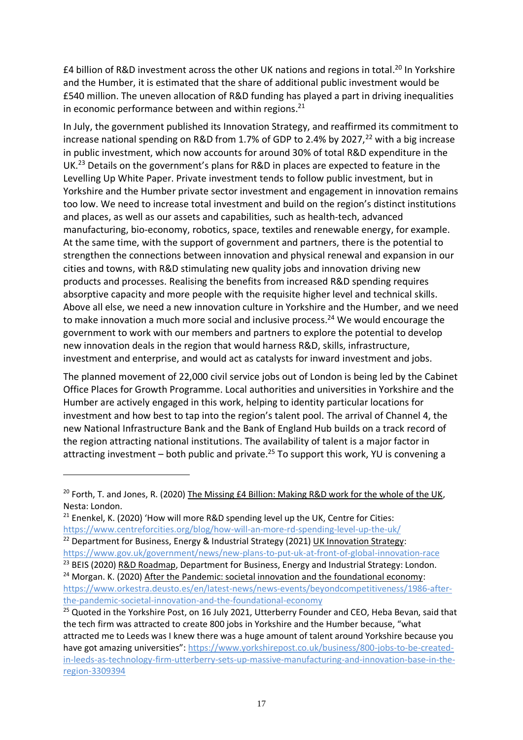£4 billion of R&D investment across the other UK nations and regions in total.<sup>20</sup> In Yorkshire and the Humber, it is estimated that the share of additional public investment would be £540 million. The uneven allocation of R&D funding has played a part in driving inequalities in economic performance between and within regions.<sup>21</sup>

In July, the government published its Innovation Strategy, and reaffirmed its commitment to increase national spending on R&D from 1.7% of GDP to 2.4% by 2027, $^{22}$  with a big increase in public investment, which now accounts for around 30% of total R&D expenditure in the UK.<sup>23</sup> Details on the government's plans for R&D in places are expected to feature in the Levelling Up White Paper. Private investment tends to follow public investment, but in Yorkshire and the Humber private sector investment and engagement in innovation remains too low. We need to increase total investment and build on the region's distinct institutions and places, as well as our assets and capabilities, such as health-tech, advanced manufacturing, bio-economy, robotics, space, textiles and renewable energy, for example. At the same time, with the support of government and partners, there is the potential to strengthen the connections between innovation and physical renewal and expansion in our cities and towns, with R&D stimulating new quality jobs and innovation driving new products and processes. Realising the benefits from increased R&D spending requires absorptive capacity and more people with the requisite higher level and technical skills. Above all else, we need a new innovation culture in Yorkshire and the Humber, and we need to make innovation a much more social and inclusive process.<sup>24</sup> We would encourage the government to work with our members and partners to explore the potential to develop new innovation deals in the region that would harness R&D, skills, infrastructure, investment and enterprise, and would act as catalysts for inward investment and jobs.

The planned movement of 22,000 civil service jobs out of London is being led by the Cabinet Office Places for Growth Programme. Local authorities and universities in Yorkshire and the Humber are actively engaged in this work, helping to identity particular locations for investment and how best to tap into the region's talent pool. The arrival of Channel 4, the new National Infrastructure Bank and the Bank of England Hub builds on a track record of the region attracting national institutions. The availability of talent is a major factor in attracting investment – both public and private.<sup>25</sup> To support this work, YU is convening a

<sup>&</sup>lt;sup>20</sup> Forth, T. and Jones, R. (2020) The Missing £4 Billion: Making R&D work for the whole of the UK, Nesta: London.

<sup>&</sup>lt;sup>21</sup> Enenkel, K. (2020) 'How will more R&D spending level up the UK, Centre for Cities: <https://www.centreforcities.org/blog/how-will-an-more-rd-spending-level-up-the-uk/> <sup>22</sup> Department for Business, Energy & Industrial Strategy (2021) UK Innovation Strategy:

<https://www.gov.uk/government/news/new-plans-to-put-uk-at-front-of-global-innovation-race> <sup>23</sup> BEIS (2020) R&D Roadmap, Department for Business, Energy and Industrial Strategy: London.

 $24$  Morgan. K. (2020) After the Pandemic: societal innovation and the foundational economy: [https://www.orkestra.deusto.es/en/latest-news/news-events/beyondcompetitiveness/1986-after-](https://www.orkestra.deusto.es/en/latest-news/news-events/beyondcompetitiveness/1986-after-the-pandemic-societal-innovation-and-the-foundational-economy)

[the-pandemic-societal-innovation-and-the-foundational-economy](https://www.orkestra.deusto.es/en/latest-news/news-events/beyondcompetitiveness/1986-after-the-pandemic-societal-innovation-and-the-foundational-economy) 

<sup>&</sup>lt;sup>25</sup> Quoted in the Yorkshire Post, on 16 July 2021, Utterberry Founder and CEO, Heba Bevan, said that the tech firm was attracted to create 800 jobs in Yorkshire and the Humber because, "what attracted me to Leeds was I knew there was a huge amount of talent around Yorkshire because you have got amazing universities": [https://www.yorkshirepost.co.uk/business/800-jobs-to-be-created](https://www.yorkshirepost.co.uk/business/800-jobs-to-be-created-in-leeds-as-technology-firm-utterberry-sets-up-massive-manufacturing-and-innovation-base-in-the-region-3309394)[in-leeds-as-technology-firm-utterberry-sets-up-massive-manufacturing-and-innovation-base-in-the](https://www.yorkshirepost.co.uk/business/800-jobs-to-be-created-in-leeds-as-technology-firm-utterberry-sets-up-massive-manufacturing-and-innovation-base-in-the-region-3309394)[region-3309394](https://www.yorkshirepost.co.uk/business/800-jobs-to-be-created-in-leeds-as-technology-firm-utterberry-sets-up-massive-manufacturing-and-innovation-base-in-the-region-3309394)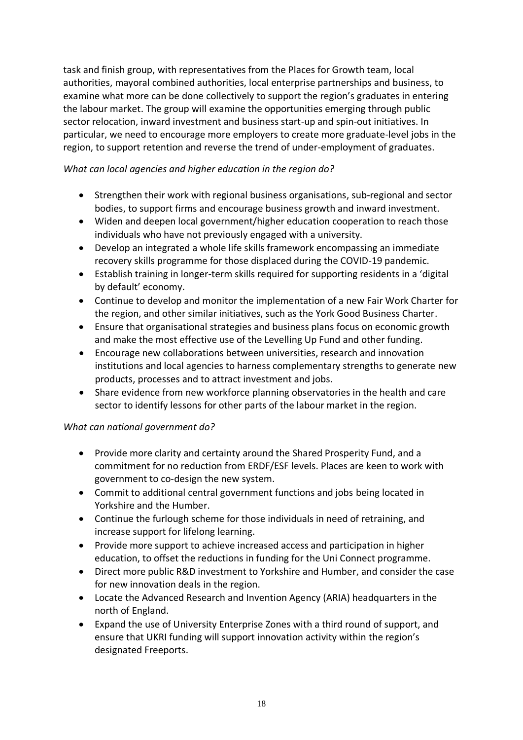task and finish group, with representatives from the Places for Growth team, local authorities, mayoral combined authorities, local enterprise partnerships and business, to examine what more can be done collectively to support the region's graduates in entering the labour market. The group will examine the opportunities emerging through public sector relocation, inward investment and business start-up and spin-out initiatives. In particular, we need to encourage more employers to create more graduate-level jobs in the region, to support retention and reverse the trend of under-employment of graduates.

### *What can local agencies and higher education in the region do?*

- Strengthen their work with regional business organisations, sub-regional and sector bodies, to support firms and encourage business growth and inward investment.
- Widen and deepen local government/higher education cooperation to reach those individuals who have not previously engaged with a university.
- Develop an integrated a whole life skills framework encompassing an immediate recovery skills programme for those displaced during the COVID-19 pandemic.
- Establish training in longer-term skills required for supporting residents in a 'digital by default' economy.
- Continue to develop and monitor the implementation of a new Fair Work Charter for the region, and other similar initiatives, such as the York Good Business Charter.
- Ensure that organisational strategies and business plans focus on economic growth and make the most effective use of the Levelling Up Fund and other funding.
- Encourage new collaborations between universities, research and innovation institutions and local agencies to harness complementary strengths to generate new products, processes and to attract investment and jobs.
- Share evidence from new workforce planning observatories in the health and care sector to identify lessons for other parts of the labour market in the region.

- Provide more clarity and certainty around the Shared Prosperity Fund, and a commitment for no reduction from ERDF/ESF levels. Places are keen to work with government to co-design the new system.
- Commit to additional central government functions and jobs being located in Yorkshire and the Humber.
- Continue the furlough scheme for those individuals in need of retraining, and increase support for lifelong learning.
- Provide more support to achieve increased access and participation in higher education, to offset the reductions in funding for the Uni Connect programme.
- Direct more public R&D investment to Yorkshire and Humber, and consider the case for new innovation deals in the region.
- Locate the Advanced Research and Invention Agency (ARIA) headquarters in the north of England.
- Expand the use of University Enterprise Zones with a third round of support, and ensure that UKRI funding will support innovation activity within the region's designated Freeports.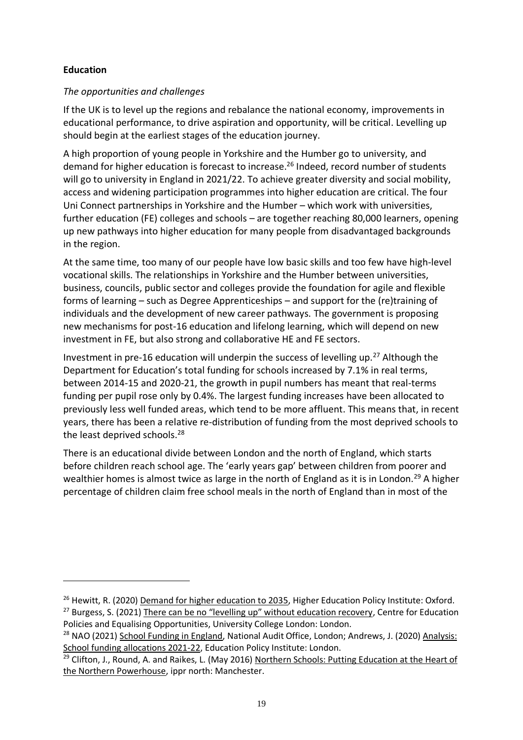### <span id="page-18-0"></span>**Education**

#### *The opportunities and challenges*

If the UK is to level up the regions and rebalance the national economy, improvements in educational performance, to drive aspiration and opportunity, will be critical. Levelling up should begin at the earliest stages of the education journey.

A high proportion of young people in Yorkshire and the Humber go to university, and demand for higher education is forecast to increase. <sup>26</sup> Indeed, record number of students will go to university in England in 2021/22. To achieve greater diversity and social mobility, access and widening participation programmes into higher education are critical. The four Uni Connect partnerships in Yorkshire and the Humber – which work with universities, further education (FE) colleges and schools – are together reaching 80,000 learners, opening up new pathways into higher education for many people from disadvantaged backgrounds in the region.

At the same time, too many of our people have low basic skills and too few have high-level vocational skills. The relationships in Yorkshire and the Humber between universities, business, councils, public sector and colleges provide the foundation for agile and flexible forms of learning – such as Degree Apprenticeships – and support for the (re)training of individuals and the development of new career pathways. The government is proposing new mechanisms for post-16 education and lifelong learning, which will depend on new investment in FE, but also strong and collaborative HE and FE sectors.

Investment in pre-16 education will underpin the success of levelling up.<sup>27</sup> Although the Department for Education's total funding for schools increased by 7.1% in real terms, between 2014-15 and 2020-21, the growth in pupil numbers has meant that real-terms funding per pupil rose only by 0.4%. The largest funding increases have been allocated to previously less well funded areas, which tend to be more affluent. This means that, in recent years, there has been a relative re-distribution of funding from the most deprived schools to the least deprived schools.<sup>28</sup>

There is an educational divide between London and the north of England, which starts before children reach school age. The 'early years gap' between children from poorer and wealthier homes is almost twice as large in the north of England as it is in London.<sup>29</sup> A higher percentage of children claim free school meals in the north of England than in most of the

<sup>&</sup>lt;sup>26</sup> Hewitt, R. (2020) Demand for higher education to 2035, Higher Education Policy Institute: Oxford. <sup>27</sup> Burgess, S. (2021) There can be no "levelling up" without education recovery, Centre for Education Policies and Equalising Opportunities, University College London: London.

<sup>&</sup>lt;sup>28</sup> NAO (2021) School Funding in England, National Audit Office, London; Andrews, J. (2020) Analysis: School funding allocations 2021-22, Education Policy Institute: London.

<sup>&</sup>lt;sup>29</sup> Clifton, J., Round, A. and Raikes, L. (May 2016) Northern Schools: Putting Education at the Heart of the Northern Powerhouse, ippr north: Manchester.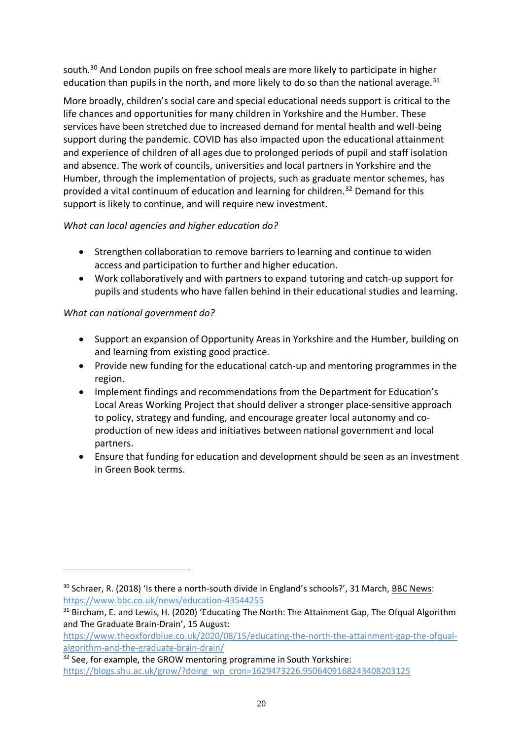south.<sup>30</sup> And London pupils on free school meals are more likely to participate in higher education than pupils in the north, and more likely to do so than the national average.<sup>31</sup>

More broadly, children's social care and special educational needs support is critical to the life chances and opportunities for many children in Yorkshire and the Humber. These services have been stretched due to increased demand for mental health and well-being support during the pandemic. COVID has also impacted upon the educational attainment and experience of children of all ages due to prolonged periods of pupil and staff isolation and absence. The work of councils, universities and local partners in Yorkshire and the Humber, through the implementation of projects, such as graduate mentor schemes, has provided a vital continuum of education and learning for children. <sup>32</sup> Demand for this support is likely to continue, and will require new investment.

### *What can local agencies and higher education do?*

- Strengthen collaboration to remove barriers to learning and continue to widen access and participation to further and higher education.
- Work collaboratively and with partners to expand tutoring and catch-up support for pupils and students who have fallen behind in their educational studies and learning.

- Support an expansion of Opportunity Areas in Yorkshire and the Humber, building on and learning from existing good practice.
- Provide new funding for the educational catch-up and mentoring programmes in the region.
- Implement findings and recommendations from the Department for Education's Local Areas Working Project that should deliver a stronger place-sensitive approach to policy, strategy and funding, and encourage greater local autonomy and coproduction of new ideas and initiatives between national government and local partners.
- Ensure that funding for education and development should be seen as an investment in Green Book terms.

<sup>&</sup>lt;sup>30</sup> Schraer, R. (2018) 'Is there a north-south divide in England's schools?', 31 March, BBC News: <https://www.bbc.co.uk/news/education-43544255>

 $31$  Bircham, E. and Lewis, H. (2020) 'Educating The North: The Attainment Gap, The Ofqual Algorithm and The Graduate Brain-Drain', 15 August:

[https://www.theoxfordblue.co.uk/2020/08/15/educating-the-north-the-attainment-gap-the-ofqual](https://www.theoxfordblue.co.uk/2020/08/15/educating-the-north-the-attainment-gap-the-ofqual-algorithm-and-the-graduate-brain-drain/)[algorithm-and-the-graduate-brain-drain/](https://www.theoxfordblue.co.uk/2020/08/15/educating-the-north-the-attainment-gap-the-ofqual-algorithm-and-the-graduate-brain-drain/)

 $32$  See, for example, the GROW mentoring programme in South Yorkshire: [https://blogs.shu.ac.uk/grow/?doing\\_wp\\_cron=1629473226.9506409168243408203125](https://blogs.shu.ac.uk/grow/?doing_wp_cron=1629473226.9506409168243408203125)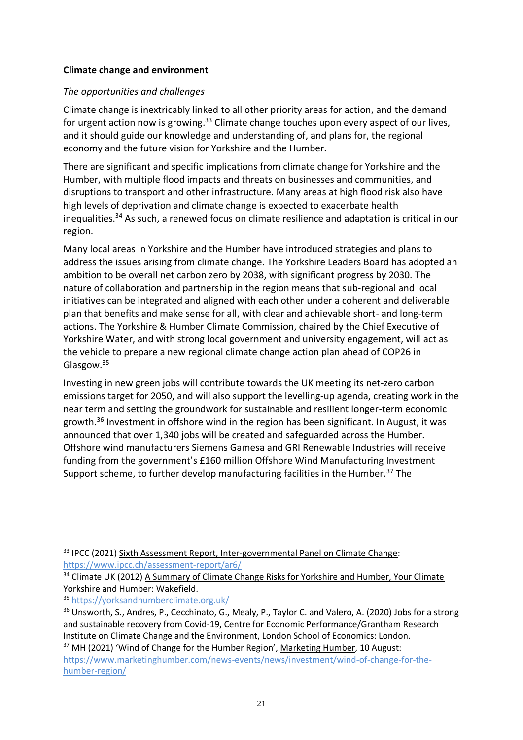#### <span id="page-20-0"></span>**Climate change and environment**

#### *The opportunities and challenges*

Climate change is inextricably linked to all other priority areas for action, and the demand for urgent action now is growing.<sup>33</sup> Climate change touches upon every aspect of our lives, and it should guide our knowledge and understanding of, and plans for, the regional economy and the future vision for Yorkshire and the Humber.

There are significant and specific implications from climate change for Yorkshire and the Humber, with multiple flood impacts and threats on businesses and communities, and disruptions to transport and other infrastructure. Many areas at high flood risk also have high levels of deprivation and climate change is expected to exacerbate health inequalities.<sup>34</sup> As such, a renewed focus on climate resilience and adaptation is critical in our region.

Many local areas in Yorkshire and the Humber have introduced strategies and plans to address the issues arising from climate change. The Yorkshire Leaders Board has adopted an ambition to be overall net carbon zero by 2038, with significant progress by 2030. The nature of collaboration and partnership in the region means that sub-regional and local initiatives can be integrated and aligned with each other under a coherent and deliverable plan that benefits and make sense for all, with clear and achievable short- and long-term actions. The Yorkshire & Humber Climate Commission, chaired by the Chief Executive of Yorkshire Water, and with strong local government and university engagement, will act as the vehicle to prepare a new regional climate change action plan ahead of COP26 in Glasgow.<sup>35</sup>

Investing in new green jobs will contribute towards the UK meeting its net-zero carbon emissions target for 2050, and will also support the levelling-up agenda, creating work in the near term and setting the groundwork for sustainable and resilient longer-term economic growth.<sup>36</sup> Investment in offshore wind in the region has been significant. In August, it was announced that over 1,340 jobs will be created and safeguarded across the Humber. Offshore wind manufacturers Siemens Gamesa and GRI Renewable Industries will receive funding from the government's £160 million Offshore Wind Manufacturing Investment Support scheme, to further develop manufacturing facilities in the Humber.<sup>37</sup> The

<sup>&</sup>lt;sup>33</sup> IPCC (2021) Sixth Assessment Report, Inter-governmental Panel on Climate Change: <https://www.ipcc.ch/assessment-report/ar6/>

<sup>&</sup>lt;sup>34</sup> Climate UK (2012) A Summary of Climate Change Risks for Yorkshire and Humber, Your Climate Yorkshire and Humber: Wakefield.

<sup>35</sup> <https://yorksandhumberclimate.org.uk/>

<sup>&</sup>lt;sup>36</sup> Unsworth, S., Andres, P., Cecchinato, G., Mealy, P., Taylor C. and Valero, A. (2020) Jobs for a strong and sustainable recovery from Covid-19, Centre for Economic Performance/Grantham Research Institute on Climate Change and the Environment, London School of Economics: London.

<sup>&</sup>lt;sup>37</sup> MH (2021) 'Wind of Change for the Humber Region', Marketing Humber, 10 August: [https://www.marketinghumber.com/news-events/news/investment/wind-of-change-for-the](https://www.marketinghumber.com/news-events/news/investment/wind-of-change-for-the-humber-region/)[humber-region/](https://www.marketinghumber.com/news-events/news/investment/wind-of-change-for-the-humber-region/)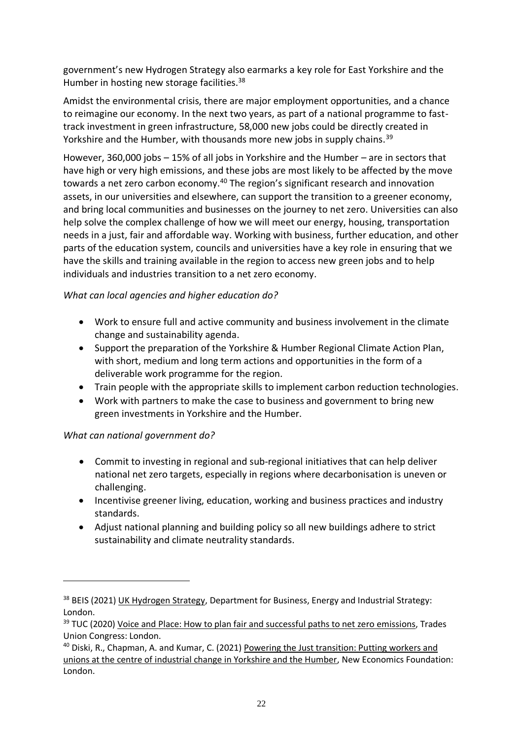government's new Hydrogen Strategy also earmarks a key role for East Yorkshire and the Humber in hosting new storage facilities.<sup>38</sup>

Amidst the environmental crisis, there are major employment opportunities, and a chance to reimagine our economy. In the next two years, as part of a national programme to fasttrack investment in green infrastructure, 58,000 new jobs could be directly created in Yorkshire and the Humber, with thousands more new jobs in supply chains.<sup>39</sup>

However, 360,000 jobs – 15% of all jobs in Yorkshire and the Humber – are in sectors that have high or very high emissions, and these jobs are most likely to be affected by the move towards a net zero carbon economy.<sup>40</sup> The region's significant research and innovation assets, in our universities and elsewhere, can support the transition to a greener economy, and bring local communities and businesses on the journey to net zero. Universities can also help solve the complex challenge of how we will meet our energy, housing, transportation needs in a just, fair and affordable way. Working with business, further education, and other parts of the education system, councils and universities have a key role in ensuring that we have the skills and training available in the region to access new green jobs and to help individuals and industries transition to a net zero economy.

### *What can local agencies and higher education do?*

- Work to ensure full and active community and business involvement in the climate change and sustainability agenda.
- Support the preparation of the Yorkshire & Humber Regional Climate Action Plan, with short, medium and long term actions and opportunities in the form of a deliverable work programme for the region.
- Train people with the appropriate skills to implement carbon reduction technologies.
- Work with partners to make the case to business and government to bring new green investments in Yorkshire and the Humber.

- Commit to investing in regional and sub-regional initiatives that can help deliver national net zero targets, especially in regions where decarbonisation is uneven or challenging.
- Incentivise greener living, education, working and business practices and industry standards.
- Adjust national planning and building policy so all new buildings adhere to strict sustainability and climate neutrality standards.

<sup>&</sup>lt;sup>38</sup> BEIS (2021) UK Hydrogen Strategy, Department for Business, Energy and Industrial Strategy: London.

<sup>&</sup>lt;sup>39</sup> TUC (2020) Voice and Place: How to plan fair and successful paths to net zero emissions, Trades Union Congress: London.

<sup>&</sup>lt;sup>40</sup> Diski, R., Chapman, A. and Kumar, C. (2021) Powering the Just transition: Putting workers and unions at the centre of industrial change in Yorkshire and the Humber, New Economics Foundation: London.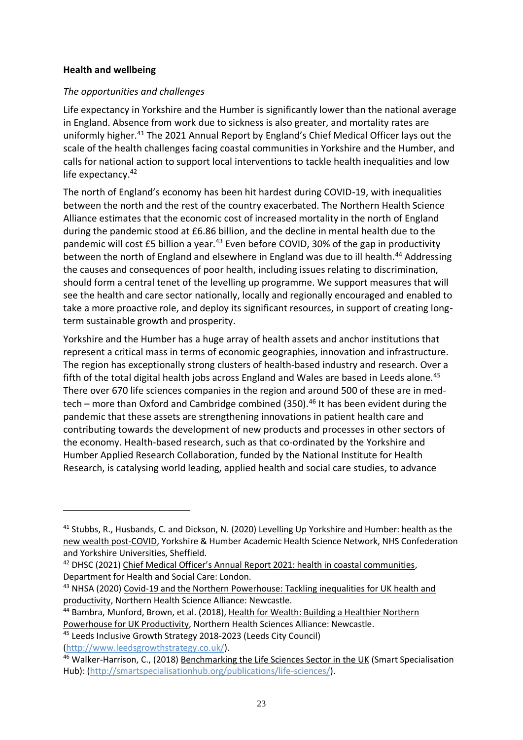#### <span id="page-22-0"></span>**Health and wellbeing**

#### *The opportunities and challenges*

Life expectancy in Yorkshire and the Humber is significantly lower than the national average in England. Absence from work due to sickness is also greater, and mortality rates are uniformly higher.<sup>41</sup> The 2021 Annual Report by England's Chief Medical Officer lays out the scale of the health challenges facing coastal communities in Yorkshire and the Humber, and calls for national action to support local interventions to tackle health inequalities and low life expectancy.<sup>42</sup>

The north of England's economy has been hit hardest during COVID-19, with inequalities between the north and the rest of the country exacerbated. The Northern Health Science Alliance estimates that the economic cost of increased mortality in the north of England during the pandemic stood at £6.86 billion, and the decline in mental health due to the pandemic will cost £5 billion a year. $43$  Even before COVID, 30% of the gap in productivity between the north of England and elsewhere in England was due to ill health.<sup>44</sup> Addressing the causes and consequences of poor health, including issues relating to discrimination, should form a central tenet of the levelling up programme. We support measures that will see the health and care sector nationally, locally and regionally encouraged and enabled to take a more proactive role, and deploy its significant resources, in support of creating longterm sustainable growth and prosperity.

Yorkshire and the Humber has a huge array of health assets and anchor institutions that represent a critical mass in terms of economic geographies, innovation and infrastructure. The region has exceptionally strong clusters of health-based industry and research. Over a fifth of the total digital health jobs across England and Wales are based in Leeds alone.<sup>45</sup> There over 670 life sciences companies in the region and around 500 of these are in medtech – more than Oxford and Cambridge combined (350).<sup>46</sup> It has been evident during the pandemic that these assets are strengthening innovations in patient health care and contributing towards the development of new products and processes in other sectors of the economy. Health-based research, such as that co-ordinated by the Yorkshire and Humber Applied Research Collaboration, funded by the National Institute for Health Research, is catalysing world leading, applied health and social care studies, to advance

<sup>&</sup>lt;sup>41</sup> Stubbs, R., Husbands, C. and Dickson, N. (2020) Levelling Up Yorkshire and Humber: health as the new wealth post-COVID, Yorkshire & Humber Academic Health Science Network, NHS Confederation and Yorkshire Universities, Sheffield.

<sup>&</sup>lt;sup>42</sup> DHSC (2021) Chief Medical Officer's Annual Report 2021: health in coastal communities, Department for Health and Social Care: London.

<sup>&</sup>lt;sup>43</sup> NHSA (2020) Covid-19 and the Northern Powerhouse: Tackling inequalities for UK health and productivity, Northern Health Science Alliance: Newcastle.

<sup>44</sup> Bambra, Munford, Brown, et al. (2018), Health for Wealth: Building a Healthier Northern Powerhouse for UK Productivity, Northern Health Sciences Alliance: Newcastle.

<sup>45</sup> Leeds Inclusive Growth Strategy 2018-2023 (Leeds City Council) [\(http://www.leedsgrowthstrategy.co.uk/\)](http://www.leedsgrowthstrategy.co.uk/).

<sup>46</sup> Walker-Harrison, C., (2018) Benchmarking the Life Sciences Sector in the UK (Smart Specialisation Hub): [\(http://smartspecialisationhub.org/publications/life-sciences/\)](http://smartspecialisationhub.org/publications/life-sciences/).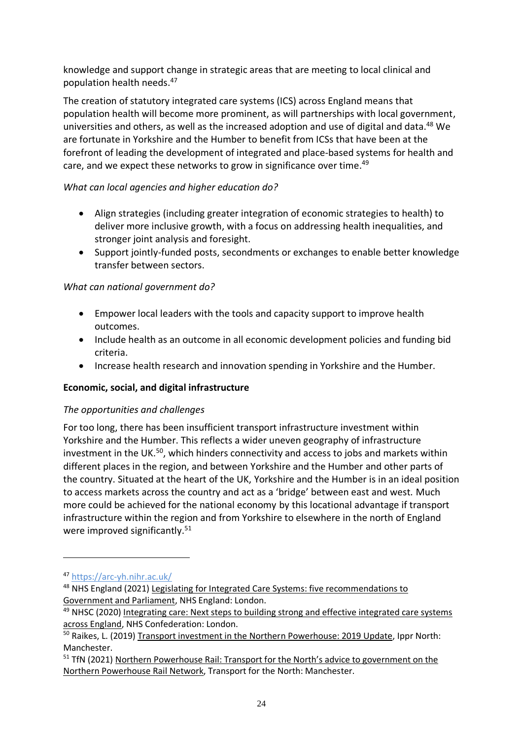knowledge and support change in strategic areas that are meeting to local clinical and population health needs. 47

The creation of statutory integrated care systems (ICS) across England means that population health will become more prominent, as will partnerships with local government, universities and others, as well as the increased adoption and use of digital and data.<sup>48</sup> We are fortunate in Yorkshire and the Humber to benefit from ICSs that have been at the forefront of leading the development of integrated and place-based systems for health and care, and we expect these networks to grow in significance over time.<sup>49</sup>

### *What can local agencies and higher education do?*

- Align strategies (including greater integration of economic strategies to health) to deliver more inclusive growth, with a focus on addressing health inequalities, and stronger joint analysis and foresight.
- Support jointly-funded posts, secondments or exchanges to enable better knowledge transfer between sectors.

### *What can national government do?*

- Empower local leaders with the tools and capacity support to improve health outcomes.
- Include health as an outcome in all economic development policies and funding bid criteria.
- Increase health research and innovation spending in Yorkshire and the Humber.

### <span id="page-23-0"></span>**Economic, social, and digital infrastructure**

### *The opportunities and challenges*

For too long, there has been insufficient transport infrastructure investment within Yorkshire and the Humber. This reflects a wider uneven geography of infrastructure investment in the UK.<sup>50</sup>, which hinders connectivity and access to jobs and markets within different places in the region, and between Yorkshire and the Humber and other parts of the country. Situated at the heart of the UK, Yorkshire and the Humber is in an ideal position to access markets across the country and act as a 'bridge' between east and west. Much more could be achieved for the national economy by this locational advantage if transport infrastructure within the region and from Yorkshire to elsewhere in the north of England were improved significantly.<sup>51</sup>

<sup>47</sup> <https://arc-yh.nihr.ac.uk/>

<sup>48</sup> NHS England (2021) Legislating for Integrated Care Systems: five recommendations to Government and Parliament, NHS England: London.

<sup>&</sup>lt;sup>49</sup> NHSC (2020) Integrating care: Next steps to building strong and effective integrated care systems across England, NHS Confederation: London.

<sup>&</sup>lt;sup>50</sup> Raikes, L. (2019) Transport investment in the Northern Powerhouse: 2019 Update, Ippr North: Manchester.

<sup>&</sup>lt;sup>51</sup> TfN (2021) Northern Powerhouse Rail: Transport for the North's advice to government on the Northern Powerhouse Rail Network, Transport for the North: Manchester.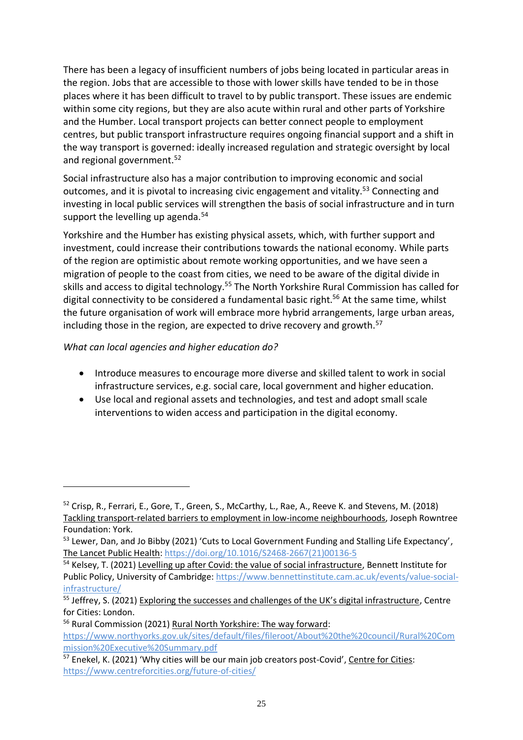There has been a legacy of insufficient numbers of jobs being located in particular areas in the region. Jobs that are accessible to those with lower skills have tended to be in those places where it has been difficult to travel to by public transport. These issues are endemic within some city regions, but they are also acute within rural and other parts of Yorkshire and the Humber. Local transport projects can better connect people to employment centres, but public transport infrastructure requires ongoing financial support and a shift in the way transport is governed: ideally increased regulation and strategic oversight by local and regional government.<sup>52</sup>

Social infrastructure also has a major contribution to improving economic and social outcomes, and it is pivotal to increasing civic engagement and vitality.<sup>53</sup> Connecting and investing in local public services will strengthen the basis of social infrastructure and in turn support the levelling up agenda. $54$ 

Yorkshire and the Humber has existing physical assets, which, with further support and investment, could increase their contributions towards the national economy. While parts of the region are optimistic about remote working opportunities, and we have seen a migration of people to the coast from cities, we need to be aware of the digital divide in skills and access to digital technology.<sup>55</sup> The North Yorkshire Rural Commission has called for digital connectivity to be considered a fundamental basic right.<sup>56</sup> At the same time, whilst the future organisation of work will embrace more hybrid arrangements, large urban areas, including those in the region, are expected to drive recovery and growth.<sup>57</sup>

*What can local agencies and higher education do?*

- Introduce measures to encourage more diverse and skilled talent to work in social infrastructure services, e.g. social care, local government and higher education.
- Use local and regional assets and technologies, and test and adopt small scale interventions to widen access and participation in the digital economy.

<sup>52</sup> Crisp, R., Ferrari, E., Gore, T., Green, S., McCarthy, L., Rae, A., Reeve K. and Stevens, M. (2018) Tackling transport-related barriers to employment in low-income neighbourhoods, Joseph Rowntree Foundation: York.

<sup>&</sup>lt;sup>53</sup> Lewer, Dan, and Jo Bibby (2021) 'Cuts to Local Government Funding and Stalling Life Expectancy', The Lancet Public Health[: https://doi.org/10.1016/S2468-2667\(21\)00136-5](https://doi.org/10.1016/S2468-2667(21)00136-5)

<sup>&</sup>lt;sup>54</sup> Kelsey, T. (2021) Levelling up after Covid: the value of social infrastructure, Bennett Institute for Public Policy, University of Cambridge: [https://www.bennettinstitute.cam.ac.uk/events/value-social](https://www.bennettinstitute.cam.ac.uk/events/value-social-infrastructure/)[infrastructure/](https://www.bennettinstitute.cam.ac.uk/events/value-social-infrastructure/)

<sup>&</sup>lt;sup>55</sup> Jeffrey, S. (2021) Exploring the successes and challenges of the UK's digital infrastructure, Centre for Cities: London.

<sup>56</sup> Rural Commission (2021) Rural North Yorkshire: The way forward:

[https://www.northyorks.gov.uk/sites/default/files/fileroot/About%20the%20council/Rural%20Com](https://www.northyorks.gov.uk/sites/default/files/fileroot/About%20the%20council/Rural%20Commission%20Executive%20Summary.pdf) [mission%20Executive%20Summary.pdf](https://www.northyorks.gov.uk/sites/default/files/fileroot/About%20the%20council/Rural%20Commission%20Executive%20Summary.pdf)

<sup>&</sup>lt;sup>57</sup> Enekel, K. (2021) 'Why cities will be our main job creators post-Covid', Centre for Cities: <https://www.centreforcities.org/future-of-cities/>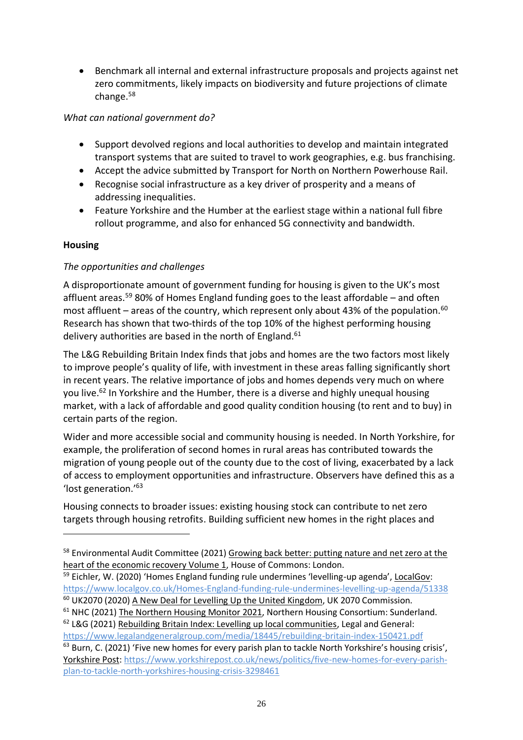• Benchmark all internal and external infrastructure proposals and projects against net zero commitments, likely impacts on biodiversity and future projections of climate change.<sup>58</sup>

### *What can national government do?*

- Support devolved regions and local authorities to develop and maintain integrated transport systems that are suited to travel to work geographies, e.g. bus franchising.
- Accept the advice submitted by Transport for North on Northern Powerhouse Rail.
- Recognise social infrastructure as a key driver of prosperity and a means of addressing inequalities.
- Feature Yorkshire and the Humber at the earliest stage within a national full fibre rollout programme, and also for enhanced 5G connectivity and bandwidth.

### <span id="page-25-0"></span>**Housing**

### *The opportunities and challenges*

A disproportionate amount of government funding for housing is given to the UK's most affluent areas.<sup>59</sup> 80% of Homes England funding goes to the least affordable – and often most affluent – areas of the country, which represent only about 43% of the population.<sup>60</sup> Research has shown that two-thirds of the top 10% of the highest performing housing delivery authorities are based in the north of England. $61$ 

The L&G Rebuilding Britain Index finds that jobs and homes are the two factors most likely to improve people's quality of life, with investment in these areas falling significantly short in recent years. The relative importance of jobs and homes depends very much on where you live.<sup>62</sup> In Yorkshire and the Humber, there is a diverse and highly unequal housing market, with a lack of affordable and good quality condition housing (to rent and to buy) in certain parts of the region.

Wider and more accessible social and community housing is needed. In North Yorkshire, for example, the proliferation of second homes in rural areas has contributed towards the migration of young people out of the county due to the cost of living, exacerbated by a lack of access to employment opportunities and infrastructure. Observers have defined this as a 'lost generation.'<sup>63</sup>

Housing connects to broader issues: existing housing stock can contribute to net zero targets through housing retrofits. Building sufficient new homes in the right places and

<https://www.legalandgeneralgroup.com/media/18445/rebuilding-britain-index-150421.pdf>

<sup>&</sup>lt;sup>58</sup> Environmental Audit Committee (2021) Growing back better: putting nature and net zero at the heart of the economic recovery Volume 1, House of Commons: London.

<sup>&</sup>lt;sup>59</sup> Eichler, W. (2020) 'Homes England funding rule undermines 'levelling-up agenda', LocalGov: <https://www.localgov.co.uk/Homes-England-funding-rule-undermines-levelling-up-agenda/51338>

<sup>&</sup>lt;sup>60</sup> UK2070 (2020) A New Deal for Levelling Up the United Kingdom, UK 2070 Commission.

<sup>&</sup>lt;sup>61</sup> NHC (2021) The Northern Housing Monitor 2021, Northern Housing Consortium: Sunderland.  $62$  L&G (2021) Rebuilding Britain Index: Levelling up local communities, Legal and General:

<sup>&</sup>lt;sup>63</sup> Burn, C. (2021) 'Five new homes for every parish plan to tackle North Yorkshire's housing crisis', Yorkshire Post: [https://www.yorkshirepost.co.uk/news/politics/five-new-homes-for-every-parish](https://www.yorkshirepost.co.uk/news/politics/five-new-homes-for-every-parish-plan-to-tackle-north-yorkshires-housing-crisis-3298461)[plan-to-tackle-north-yorkshires-housing-crisis-3298461](https://www.yorkshirepost.co.uk/news/politics/five-new-homes-for-every-parish-plan-to-tackle-north-yorkshires-housing-crisis-3298461)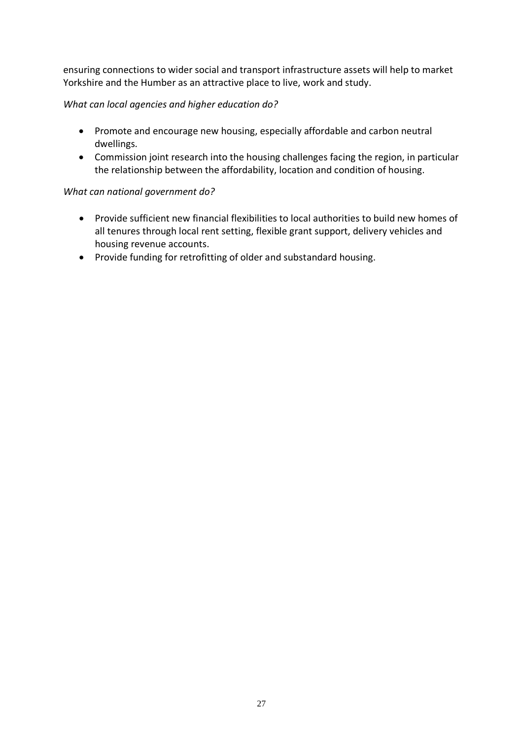ensuring connections to wider social and transport infrastructure assets will help to market Yorkshire and the Humber as an attractive place to live, work and study.

### *What can local agencies and higher education do?*

- Promote and encourage new housing, especially affordable and carbon neutral dwellings.
- Commission joint research into the housing challenges facing the region, in particular the relationship between the affordability, location and condition of housing.

- Provide sufficient new financial flexibilities to local authorities to build new homes of all tenures through local rent setting, flexible grant support, delivery vehicles and housing revenue accounts.
- Provide funding for retrofitting of older and substandard housing.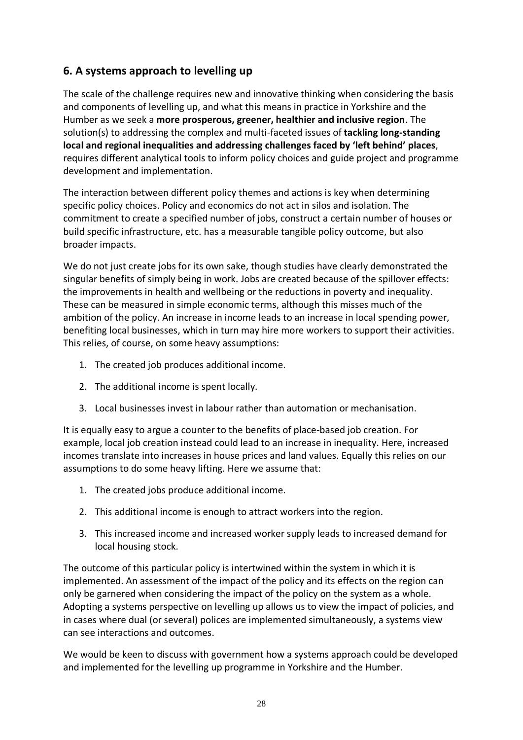# <span id="page-27-0"></span>**6. A systems approach to levelling up**

The scale of the challenge requires new and innovative thinking when considering the basis and components of levelling up, and what this means in practice in Yorkshire and the Humber as we seek a **more prosperous, greener, healthier and inclusive region**. The solution(s) to addressing the complex and multi-faceted issues of **tackling long-standing local and regional inequalities and addressing challenges faced by 'left behind' places**, requires different analytical tools to inform policy choices and guide project and programme development and implementation.

The interaction between different policy themes and actions is key when determining specific policy choices. Policy and economics do not act in silos and isolation. The commitment to create a specified number of jobs, construct a certain number of houses or build specific infrastructure, etc. has a measurable tangible policy outcome, but also broader impacts.

We do not just create jobs for its own sake, though studies have clearly demonstrated the singular benefits of simply being in work. Jobs are created because of the spillover effects: the improvements in health and wellbeing or the reductions in poverty and inequality. These can be measured in simple economic terms, although this misses much of the ambition of the policy. An increase in income leads to an increase in local spending power, benefiting local businesses, which in turn may hire more workers to support their activities. This relies, of course, on some heavy assumptions:

- 1. The created job produces additional income.
- 2. The additional income is spent locally.
- 3. Local businesses invest in labour rather than automation or mechanisation.

It is equally easy to argue a counter to the benefits of place-based job creation. For example, local job creation instead could lead to an increase in inequality. Here, increased incomes translate into increases in house prices and land values. Equally this relies on our assumptions to do some heavy lifting. Here we assume that:

- 1. The created jobs produce additional income.
- 2. This additional income is enough to attract workers into the region.
- 3. This increased income and increased worker supply leads to increased demand for local housing stock.

The outcome of this particular policy is intertwined within the system in which it is implemented. An assessment of the impact of the policy and its effects on the region can only be garnered when considering the impact of the policy on the system as a whole. Adopting a systems perspective on levelling up allows us to view the impact of policies, and in cases where dual (or several) polices are implemented simultaneously, a systems view can see interactions and outcomes.

We would be keen to discuss with government how a systems approach could be developed and implemented for the levelling up programme in Yorkshire and the Humber.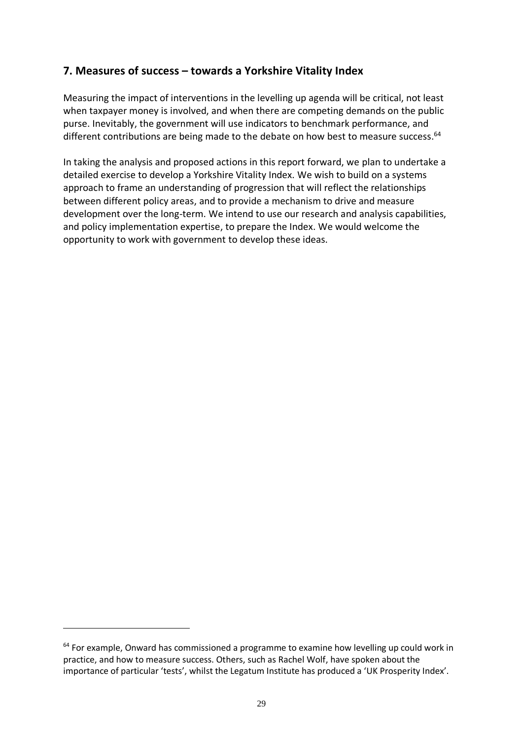# <span id="page-28-0"></span>**7. Measures of success – towards a Yorkshire Vitality Index**

Measuring the impact of interventions in the levelling up agenda will be critical, not least when taxpayer money is involved, and when there are competing demands on the public purse. Inevitably, the government will use indicators to benchmark performance, and different contributions are being made to the debate on how best to measure success.<sup>64</sup>

In taking the analysis and proposed actions in this report forward, we plan to undertake a detailed exercise to develop a Yorkshire Vitality Index. We wish to build on a systems approach to frame an understanding of progression that will reflect the relationships between different policy areas, and to provide a mechanism to drive and measure development over the long-term. We intend to use our research and analysis capabilities, and policy implementation expertise, to prepare the Index. We would welcome the opportunity to work with government to develop these ideas.

 $64$  For example, Onward has commissioned a programme to examine how levelling up could work in practice, and how to measure success. Others, such as Rachel Wolf, have spoken about the importance of particular 'tests', whilst the Legatum Institute has produced a 'UK Prosperity Index'.